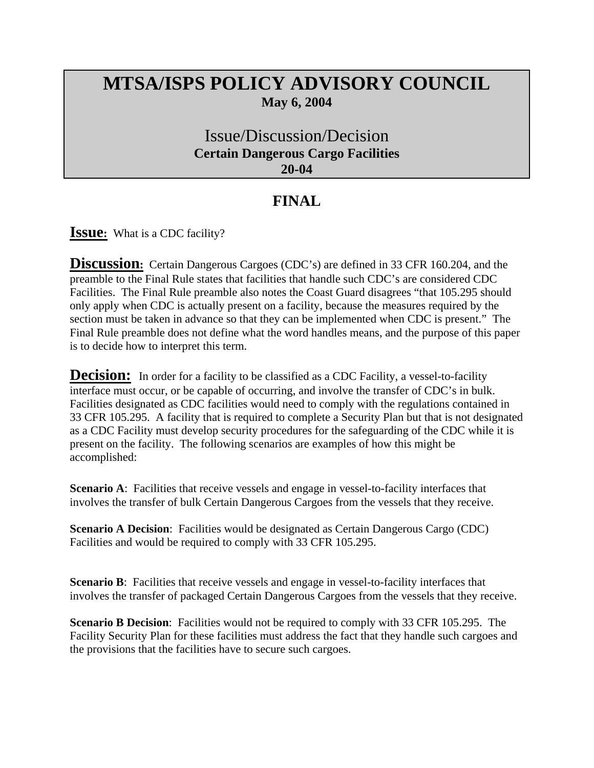## **MTSA/ISPS POLICY ADVISORY COUNCIL May 6, 2004**

## Issue/Discussion/Decision **Certain Dangerous Cargo Facilities 20-04**

## **FINAL**

**Issue:** What is a CDC facility?

**Discussion:** Certain Dangerous Cargoes (CDC's) are defined in 33 CFR 160.204, and the preamble to the Final Rule states that facilities that handle such CDC's are considered CDC Facilities. The Final Rule preamble also notes the Coast Guard disagrees "that 105.295 should only apply when CDC is actually present on a facility, because the measures required by the section must be taken in advance so that they can be implemented when CDC is present." The Final Rule preamble does not define what the word handles means, and the purpose of this paper is to decide how to interpret this term.

**Decision:** In order for a facility to be classified as a CDC Facility, a vessel-to-facility interface must occur, or be capable of occurring, and involve the transfer of CDC's in bulk. Facilities designated as CDC facilities would need to comply with the regulations contained in 33 CFR 105.295. A facility that is required to complete a Security Plan but that is not designated as a CDC Facility must develop security procedures for the safeguarding of the CDC while it is present on the facility. The following scenarios are examples of how this might be accomplished:

**Scenario A:** Facilities that receive vessels and engage in vessel-to-facility interfaces that involves the transfer of bulk Certain Dangerous Cargoes from the vessels that they receive.

**Scenario A Decision:** Facilities would be designated as Certain Dangerous Cargo (CDC) Facilities and would be required to comply with 33 CFR 105.295.

**Scenario B**: Facilities that receive vessels and engage in vessel-to-facility interfaces that involves the transfer of packaged Certain Dangerous Cargoes from the vessels that they receive.

**Scenario B Decision**: Facilities would not be required to comply with 33 CFR 105.295. The Facility Security Plan for these facilities must address the fact that they handle such cargoes and the provisions that the facilities have to secure such cargoes.